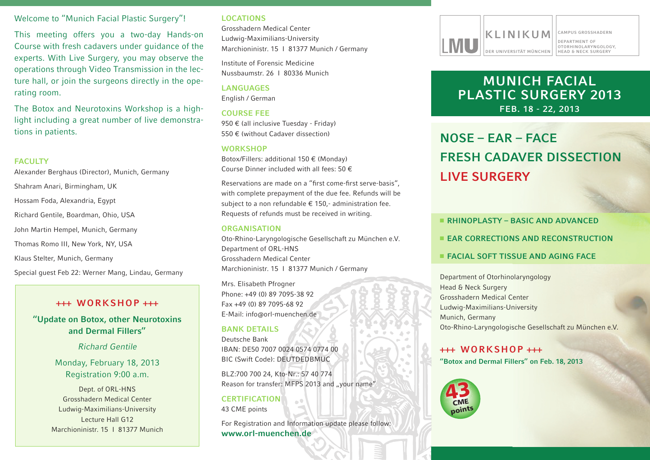#### Welcome to "Munich Facial Plastic Surgery"!

This meeting offers you a two-day Hands-on Course with fresh cadavers under guidance of the experts. With Live Surgery, you may observe the operations through Video Transmission in the lecture hall, or join the surgeons directly in the operating room.

The Botox and Neurotoxins Workshop is a highlight including a great number of live demonstrations in patients.

#### **FACULTY**

Alexander Berghaus (Director), Munich, Germany Shahram Anari, Birmingham, UK Hossam Foda, Alexandria, Egypt Richard Gentile, Boardman, Ohio, USA John Martin hempel, Munich, Germany Thomas Romo III, New York, NY, USA Klaus stelter, Munich, Germany special guest Feb 22: Werner Mang, Lindau, Germany

## **+++ WORKSHOP +++**

**"Update on Botox, other Neurotoxins and Dermal Fillers"**

*Richard Gentile*

Monday, February 18, 2013 Registration 9:00 a.m.

Dept. of ORL-HNS Grosshadern Medical Center Ludwig-Maximilians-University Lecture hall G12 Marchioninistr. 15 | 81377 Munich

#### **LOCATIONS**

Grosshadern Medical Center Ludwig-Maximilians-University Marchioninistr. 15 | 81377 Munich / Germany

institute of Forensic Medicine Nussbaumstr. 26 | 80336 Munich

**LANGUAGES** English / German

#### **COURSE FEE**

950 € (all inclusive Tuesday - Friday) 550 € (without Cadaver dissection)

#### **WORKSHOP**

Botox/Fillers: additional  $150 \in (Monday)$ Course Dinner included with all fees: 50  $\epsilon$ 

Reservations are made on a "first come-first serve-basis", with complete prepayment of the due fee. Refunds will be subject to a non refundable  $\epsilon$  150,- administration fee. Requests of refunds must be received in writing.

#### **ORGANISATION**

Oto-Rhino-Laryngologische Gesellschaft zu München e.V. Department of ORL-HNS Grosshadern Medical Center Marchioninistr. 15 | 81377 Munich / Germany

Mrs. Elisabeth Pfrogner Phone: +49 (0) 89 7095-38 92 Fax +49 (0) 89 7095-68 92 e-Mail: info@orl-muenchen.de

#### **BANK DETAILS**

Deutsche Bank iBan: de50 7007 0024 0574 0774 00 BIC (Swift Code): DEUTDEDBMUC

BLZ:700 700 24, Kto-nr.: 57 40 774 Reason for transfer: MFPS 2013 and "your name"

**CERTIFICATION** 43 CME points

For Registration and Information update please follow: **www.orl-muenchen.de**



# **MUNICH FACIAL PLASTIC SURGERY 2013 FEB. 18 - 22, 2013**

# **NOSE – EAR – FACE FRESH CADAVER DISSECTION LIVE SURGERY**

#### **RHINOPLASTY – BASIC AND ADVANCED**

- **EXAMPLE AND RECONSTRUCTION**
- **FACIAL SOFT TISSUE AND AGING FACE**

Department of Otorhinolaryngology head & neck surgery Grosshadern Medical Center Ludwig-Maximilians-University Munich, Germany Oto-Rhino-Laryngologische Gesellschaft zu München e.V.

## **+++ WORKSHOP +++**

**"Botox and Dermal Fillers" on Feb. 18, 2013**